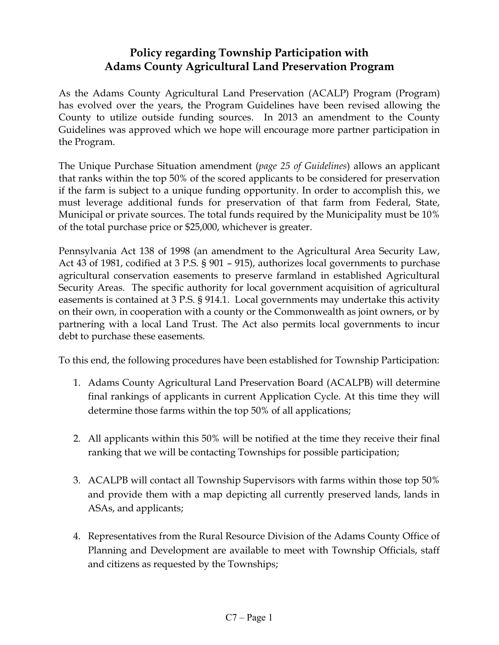## **Policy regarding Township Participation with Adams County Agricultural Land Preservation Program**

As the Adams County Agricultural Land Preservation (ACALP) Program (Program) has evolved over the years, the Program Guidelines have been revised allowing the County to utilize outside funding sources. In 2013 an amendment to the County Guidelines was approved which we hope will encourage more partner participation in the Program.

The Unique Purchase Situation amendment (*page 25 of Guidelines*) allows an applicant that ranks within the top 50% of the scored applicants to be considered for preservation if the farm is subject to a unique funding opportunity. In order to accomplish this, we must leverage additional funds for preservation of that farm from Federal, State, Municipal or private sources. The total funds required by the Municipality must be 10% of the total purchase price or \$25,000, whichever is greater.

Pennsylvania Act 138 of 1998 (an amendment to the Agricultural Area Security Law, Act 43 of 1981, codified at 3 P.S. § 901 – 915), authorizes local governments to purchase agricultural conservation easements to preserve farmland in established Agricultural Security Areas. The specific authority for local government acquisition of agricultural easements is contained at 3 P.S. § 914.1. Local governments may undertake this activity on their own, in cooperation with a county or the Commonwealth as joint owners, or by partnering with a local Land Trust. The Act also permits local governments to incur debt to purchase these easements.

To this end, the following procedures have been established for Township Participation:

- 1. Adams County Agricultural Land Preservation Board (ACALPB) will determine final rankings of applicants in current Application Cycle. At this time they will determine those farms within the top 50% of all applications;
- 2. All applicants within this 50% will be notified at the time they receive their final ranking that we will be contacting Townships for possible participation;
- 3. ACALPB will contact all Township Supervisors with farms within those top 50% and provide them with a map depicting all currently preserved lands, lands in ASAs, and applicants;
- 4. Representatives from the Rural Resource Division of the Adams County Office of Planning and Development are available to meet with Township Officials, staff and citizens as requested by the Townships;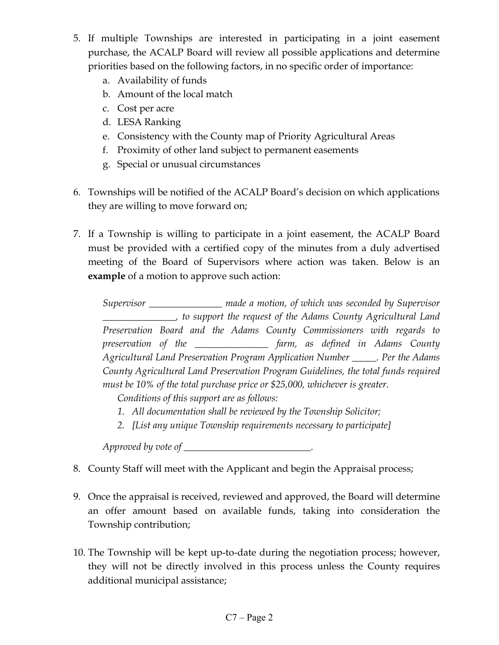- 5. If multiple Townships are interested in participating in a joint easement purchase, the ACALP Board will review all possible applications and determine priorities based on the following factors, in no specific order of importance:
	- a. Availability of funds
	- b. Amount of the local match
	- c. Cost per acre
	- d. LESA Ranking
	- e. Consistency with the County map of Priority Agricultural Areas
	- f. Proximity of other land subject to permanent easements
	- g. Special or unusual circumstances
- 6. Townships will be notified of the ACALP Board's decision on which applications they are willing to move forward on;
- 7. If a Township is willing to participate in a joint easement, the ACALP Board must be provided with a certified copy of the minutes from a duly advertised meeting of the Board of Supervisors where action was taken. Below is an **example** of a motion to approve such action:

*Supervisor \_\_\_\_\_\_\_\_\_\_\_\_\_\_\_ made a motion, of which was seconded by Supervisor \_\_\_\_\_\_\_\_\_\_\_\_\_\_\_, to support the request of the Adams County Agricultural Land Preservation Board and the Adams County Commissioners with regards to preservation of the \_\_\_\_\_\_\_\_\_\_\_\_\_\_\_ farm, as defined in Adams County Agricultural Land Preservation Program Application Number \_\_\_\_\_. Per the Adams County Agricultural Land Preservation Program Guidelines, the total funds required must be 10% of the total purchase price or \$25,000, whichever is greater.*

*Conditions of this support are as follows:*

- *1. All documentation shall be reviewed by the Township Solicitor;*
- *2. [List any unique Township requirements necessary to participate]*

*Approved by vote of \_\_\_\_\_\_\_\_\_\_\_\_\_\_\_\_\_\_\_\_\_\_\_\_\_\_.*

- 8. County Staff will meet with the Applicant and begin the Appraisal process;
- 9. Once the appraisal is received, reviewed and approved, the Board will determine an offer amount based on available funds, taking into consideration the Township contribution;
- 10. The Township will be kept up-to-date during the negotiation process; however, they will not be directly involved in this process unless the County requires additional municipal assistance;